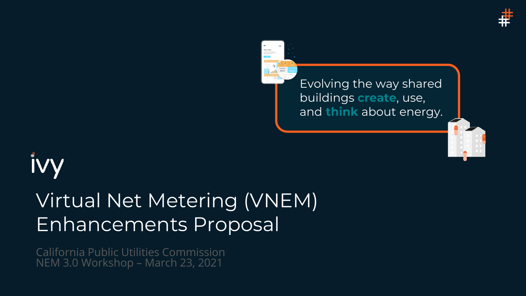



Evolving the way shared buildings **create**, use, and **think** about energy.



## Virtual Net Metering (VNEM) Enhancements Proposal

California Public Utilities Commission NEM 3.0 Workshop – March 23, 2021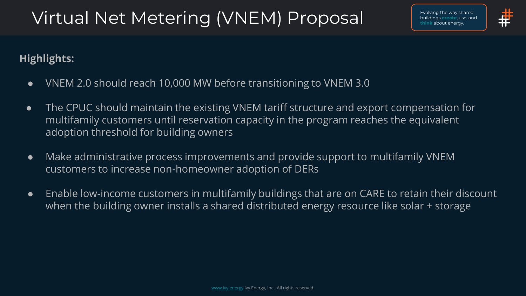### Virtual Net Metering (VNEM) Proposal



#### **Highlights:**

- VNEM 2.0 should reach 10,000 MW before transitioning to VNEM 3.0
- The CPUC should maintain the existing VNEM tariff structure and export compensation for multifamily customers until reservation capacity in the program reaches the equivalent adoption threshold for building owners
- Make administrative process improvements and provide support to multifamily VNEM customers to increase non-homeowner adoption of DERs
- Enable low-income customers in multifamily buildings that are on CARE to retain their discount when the building owner installs a shared distributed energy resource like solar + storage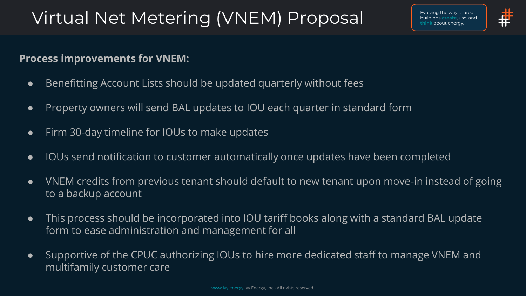### Virtual Net Metering (VNEM) Proposal



#### **Process improvements for VNEM:**

- Benefitting Account Lists should be updated quarterly without fees
- Property owners will send BAL updates to IOU each quarter in standard form
- Firm 30-day timeline for IOUs to make updates
- IOUs send notification to customer automatically once updates have been completed
- VNEM credits from previous tenant should default to new tenant upon move-in instead of going to a backup account
- This process should be incorporated into IOU tariff books along with a standard BAL update form to ease administration and management for all
- Supportive of the CPUC authorizing IOUs to hire more dedicated staff to manage VNEM and multifamily customer care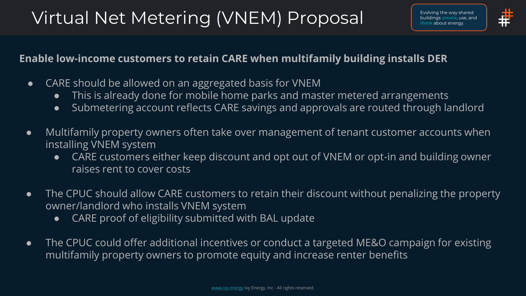### Virtual Net Metering (VNEM) Proposal



#### **Enable low-income customers to retain CARE when multifamily building installs DER**

- CARE should be allowed on an aggregated basis for VNEM
	- This is already done for mobile home parks and master metered arrangements
	- Submetering account reflects CARE savings and approvals are routed through landlord
- Multifamily property owners often take over management of tenant customer accounts when installing VNEM system
	- CARE customers either keep discount and opt out of VNEM or opt-in and building owner raises rent to cover costs
- The CPUC should allow CARE customers to retain their discount without penalizing the property owner/landlord who installs VNEM system
	- CARE proof of eligibility submitted with BAL update
- The CPUC could offer additional incentives or conduct a targeted ME&O campaign for existing multifamily property owners to promote equity and increase renter benefits